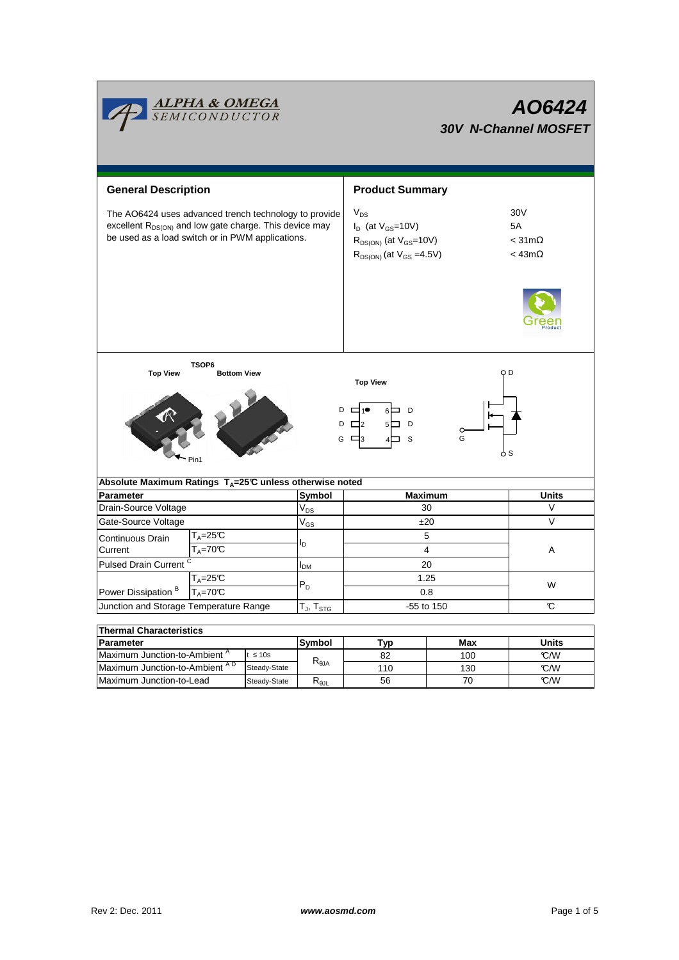| <u><b>ALPHA &amp; OMEGA</b><br/>SEMICONDUCTOR</u><br>AO6424<br><b>30V N-Channel MOSFET</b>                                                                                      |                                                |  |                         |                                                                                                               |                                                   |              |  |  |  |  |
|---------------------------------------------------------------------------------------------------------------------------------------------------------------------------------|------------------------------------------------|--|-------------------------|---------------------------------------------------------------------------------------------------------------|---------------------------------------------------|--------------|--|--|--|--|
| <b>General Description</b>                                                                                                                                                      |                                                |  |                         | <b>Product Summary</b>                                                                                        |                                                   |              |  |  |  |  |
| The AO6424 uses advanced trench technology to provide<br>excellent R <sub>DS(ON)</sub> and low gate charge. This device may<br>be used as a load switch or in PWM applications. |                                                |  |                         | $V_{DS}$<br>$I_D$ (at $V_{GS}$ =10V)<br>$R_{DS(ON)}$ (at $V_{GS}$ =10V)<br>$R_{DS(ON)}$ (at $V_{GS} = 4.5V$ ) | 30V<br>5A<br>$<$ 31m $\Omega$<br>$<$ 43m $\Omega$ |              |  |  |  |  |
|                                                                                                                                                                                 |                                                |  |                         |                                                                                                               |                                                   |              |  |  |  |  |
| TSOP6<br><b>Top View</b><br>O D<br><b>Bottom View</b><br><b>Top View</b><br>D<br>□1●<br>6⊟ D<br>$D \Box$ 2<br>D<br>5□<br>G<br>G<br>$\Box$ 3<br>S<br>o s<br>Pin1                 |                                                |  |                         |                                                                                                               |                                                   |              |  |  |  |  |
| Absolute Maximum Ratings $T_A=25^\circ \text{C}$ unless otherwise noted                                                                                                         |                                                |  |                         |                                                                                                               |                                                   |              |  |  |  |  |
| Parameter                                                                                                                                                                       |                                                |  | Symbol                  |                                                                                                               | <b>Maximum</b>                                    | <b>Units</b> |  |  |  |  |
| Drain-Source Voltage                                                                                                                                                            |                                                |  | $V_{DS}$                | 30                                                                                                            | V                                                 |              |  |  |  |  |
| Gate-Source Voltage                                                                                                                                                             |                                                |  | $V_{GS}$                | ±20                                                                                                           | V                                                 |              |  |  |  |  |
| Continuous Drain<br>Current                                                                                                                                                     | $T_A = 25C$                                    |  | l <sub>D</sub>          | 5                                                                                                             |                                                   | Α            |  |  |  |  |
|                                                                                                                                                                                 | $T_A = 70C$                                    |  |                         | 4                                                                                                             |                                                   |              |  |  |  |  |
| Pulsed Drain Current <sup>C</sup>                                                                                                                                               |                                                |  | 20<br>I <sub>DM</sub>   |                                                                                                               |                                                   |              |  |  |  |  |
|                                                                                                                                                                                 | $T_A = 25C$                                    |  | $\mathsf{P}_\mathsf{D}$ | 1.25                                                                                                          |                                                   | W            |  |  |  |  |
| Power Dissipation <sup>B</sup><br>$T_A = 70C$                                                                                                                                   |                                                |  |                         | 0.8                                                                                                           |                                                   |              |  |  |  |  |
| Junction and Storage Temperature Range                                                                                                                                          |                                                |  | $T_{J}$ , $T_{STG}$     | -55 to 150<br>C                                                                                               |                                                   |              |  |  |  |  |
| <b>Thermal Characteristics</b>                                                                                                                                                  |                                                |  |                         |                                                                                                               |                                                   |              |  |  |  |  |
| Parameter                                                                                                                                                                       |                                                |  | Symbol                  | Max<br><b>Typ</b>                                                                                             |                                                   | <b>Units</b> |  |  |  |  |
| Maximum Junction-to-Ambient <sup>A</sup><br>t ≤ 10s                                                                                                                             |                                                |  | 82                      | 100                                                                                                           | °C/W                                              |              |  |  |  |  |
|                                                                                                                                                                                 | Maximum Junction-to-Ambient AD<br>Steady-State |  | $R_{\theta JA}$         | 110                                                                                                           | 130                                               | C/W          |  |  |  |  |
|                                                                                                                                                                                 | Maximum Junction-to-Lead<br>Steady-State       |  | $R_{\theta$ JL          | 56                                                                                                            | 70                                                | C/W          |  |  |  |  |

 $\mathbf{r}$ 

 $\overline{1}$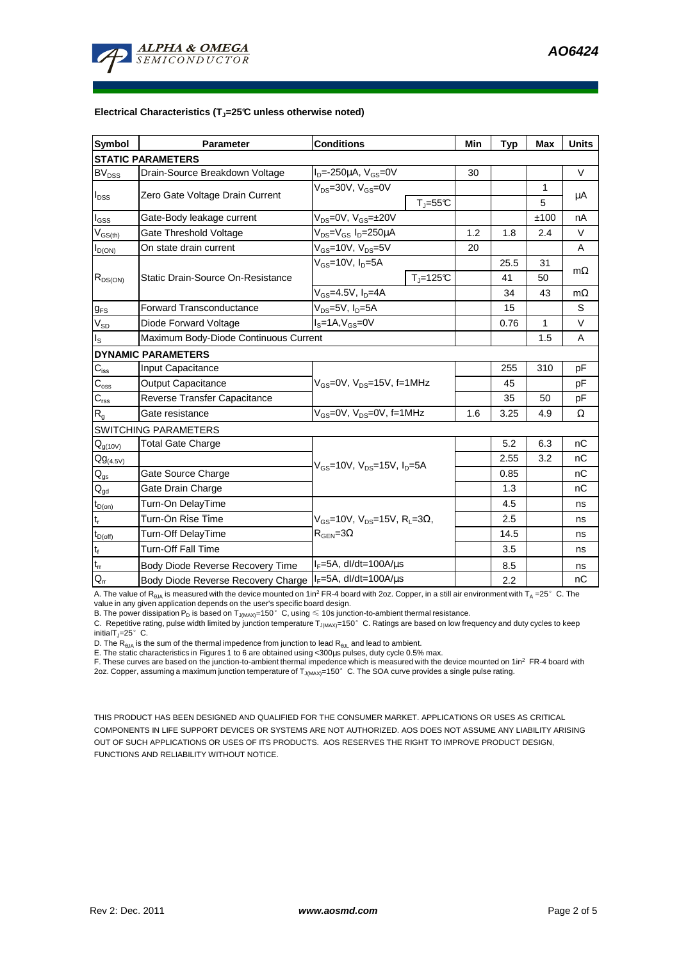#### **Electrical Characteristics (TJ=25°C unless otherwise noted)**

| <b>Symbol</b>               | <b>Parameter</b>                                                           | <b>Conditions</b>                                                                        |                         |     | <b>Typ</b> | <b>Max</b> | <b>Units</b> |  |  |  |  |  |
|-----------------------------|----------------------------------------------------------------------------|------------------------------------------------------------------------------------------|-------------------------|-----|------------|------------|--------------|--|--|--|--|--|
| <b>STATIC PARAMETERS</b>    |                                                                            |                                                                                          |                         |     |            |            |              |  |  |  |  |  |
| <b>BV<sub>DSS</sub></b>     | Drain-Source Breakdown Voltage                                             | $I_{D} = -250 \mu A$ , $V_{GS} = 0V$                                                     |                         | 30  |            |            | $\vee$       |  |  |  |  |  |
| $I_{DSS}$                   | Zero Gate Voltage Drain Current                                            | $V_{DS}$ =30V, $V_{GS}$ =0V                                                              |                         |     |            | 1          | μA           |  |  |  |  |  |
|                             |                                                                            |                                                                                          | $T_{\parallel} = 55$ °C |     |            | 5          |              |  |  |  |  |  |
| l <sub>GSS</sub>            | Gate-Body leakage current                                                  | V <sub>DS</sub> =0V, V <sub>GS</sub> =±20V                                               |                         |     |            | ±100       | nA           |  |  |  |  |  |
| $V_{GS(th)}$                | Gate Threshold Voltage                                                     | $V_{DS} = V_{GS} I_D = 250 \mu A$                                                        |                         | 1.2 | 1.8        | 2.4        | $\vee$       |  |  |  |  |  |
| $I_{D(ON)}$                 | On state drain current                                                     | $V_{GS}$ =10V, $V_{DS}$ =5V                                                              |                         | 20  |            |            | A            |  |  |  |  |  |
| $R_{DS(ON)}$                |                                                                            | $V_{GS}$ =10V, $I_D$ =5A                                                                 |                         |     | 25.5       | 31         | $m\Omega$    |  |  |  |  |  |
|                             | Static Drain-Source On-Resistance                                          |                                                                                          | $T_i = 125C$            |     | 41         | 50         |              |  |  |  |  |  |
|                             |                                                                            | $V_{GS}$ =4.5V, $I_D$ =4A                                                                |                         |     | 34         | 43         | $m\Omega$    |  |  |  |  |  |
| $g_{FS}$                    | <b>Forward Transconductance</b><br>V <sub>DS</sub> =5V, I <sub>D</sub> =5A |                                                                                          |                         |     | 15         |            | S            |  |  |  |  |  |
| $V_{SD}$                    | $IS=1A, VGS=0V$<br>Diode Forward Voltage                                   |                                                                                          |                         |     | 0.76       | 1          | $\vee$       |  |  |  |  |  |
| ıs.                         | Maximum Body-Diode Continuous Current                                      |                                                                                          |                         | 1.5 | A          |            |              |  |  |  |  |  |
|                             | <b>DYNAMIC PARAMETERS</b>                                                  |                                                                                          |                         |     |            |            |              |  |  |  |  |  |
| $C_{\text{iss}}$            | Input Capacitance                                                          | $V_{GS}$ =0V, $V_{DS}$ =15V, f=1MHz                                                      |                         |     | 255        | 310        | pF           |  |  |  |  |  |
| $\mathsf{C}_{\mathrm{oss}}$ | Output Capacitance                                                         |                                                                                          |                         |     | 45         |            | рF           |  |  |  |  |  |
| $C_{\rm rss}$               | Reverse Transfer Capacitance                                               |                                                                                          |                         |     | 35         | 50         | pF           |  |  |  |  |  |
| R <sub>g</sub>              | Gate resistance                                                            | $V_{GS}$ =0V, $V_{DS}$ =0V, f=1MHz                                                       |                         | 1.6 | 3.25       | 4.9        | Ω            |  |  |  |  |  |
|                             | SWITCHING PARAMETERS                                                       |                                                                                          |                         |     |            |            |              |  |  |  |  |  |
| $Q_{g(10V)}$                | Total Gate Charge                                                          |                                                                                          |                         |     | 5.2        | 6.3        | nC           |  |  |  |  |  |
| $Qg_{(4.5V)}$               |                                                                            | $V_{GS}$ =10V, $V_{DS}$ =15V, $I_D$ =5A                                                  |                         |     | 2.55       | 3.2        | nC           |  |  |  |  |  |
| $\mathsf{Q}_{\mathsf{gs}}$  | Gate Source Charge                                                         |                                                                                          |                         |     | 0.85       |            | nC           |  |  |  |  |  |
| $\mathsf{Q}_{\text{gd}}$    | Gate Drain Charge                                                          |                                                                                          |                         |     | 1.3        |            | nC           |  |  |  |  |  |
| $t_{D(on)}$                 | Turn-On DelayTime                                                          | $V_{GS}$ =10V, $V_{DS}$ =15V, R <sub>L</sub> =3 $\Omega$ ,<br>$R_{\text{GEN}} = 3\Omega$ |                         |     | 4.5        |            | ns           |  |  |  |  |  |
| $t_r$                       | Turn-On Rise Time                                                          |                                                                                          |                         |     | 2.5        |            | ns           |  |  |  |  |  |
| $t_{D(off)}$                | Turn-Off DelayTime                                                         |                                                                                          |                         |     | 14.5       |            | ns           |  |  |  |  |  |
| $t_f$                       | <b>Turn-Off Fall Time</b>                                                  |                                                                                          |                         |     | 3.5        |            | ns           |  |  |  |  |  |
| $t_{rr}$                    | Body Diode Reverse Recovery Time                                           | $I_F = 5A$ , dl/dt=100A/ $\mu$ s                                                         |                         |     | 8.5        |            | ns           |  |  |  |  |  |
| $Q_{rr}$                    | Body Diode Reverse Recovery Charge                                         | $I_F = 5A$ , dl/dt=100A/ $\mu$ s                                                         |                         | 2.2 |            | nC         |              |  |  |  |  |  |

A. The value of  $R_{\thetaJA}$  is measured with the device mounted on 1in<sup>2</sup> FR-4 board with 2oz. Copper, in a still air environment with T<sub>A</sub> =25°C. The

value in any given application depends on the user's specific board design.<br>B. The power dissipation P<sub>D</sub> is based on T<sub>J(MAX)</sub>=150°C, using ≤ 10s junction-to-ambient thermal resistance.

C. Repetitive rating, pulse width limited by junction temperature  $T_{J(MAX)}$ =150°C. Ratings are based on low frequency and duty cycles to keep initialT $_{1}=25^{\circ}$  C.

D. The  $R_{\theta JA}$  is the sum of the thermal impedence from junction to lead  $R_{\theta JL}$  and lead to ambient.

E. The static characteristics in Figures 1 to 6 are obtained using <300us pulses, duty cycle 0.5% max.

F. These curves are based on the junction-to-ambient thermal impedence which is measured with the device mounted on 1in<sup>2</sup> FR-4 board with 2oz. Copper, assuming a maximum junction temperature of  $T_{J(MAX)}$ =150°C. The SOA curve provides a single pulse rating.

THIS PRODUCT HAS BEEN DESIGNED AND QUALIFIED FOR THE CONSUMER MARKET. APPLICATIONS OR USES AS CRITICAL COMPONENTS IN LIFE SUPPORT DEVICES OR SYSTEMS ARE NOT AUTHORIZED. AOS DOES NOT ASSUME ANY LIABILITY ARISING OUT OF SUCH APPLICATIONS OR USES OF ITS PRODUCTS. AOS RESERVES THE RIGHT TO IMPROVE PRODUCT DESIGN, FUNCTIONS AND RELIABILITY WITHOUT NOTICE.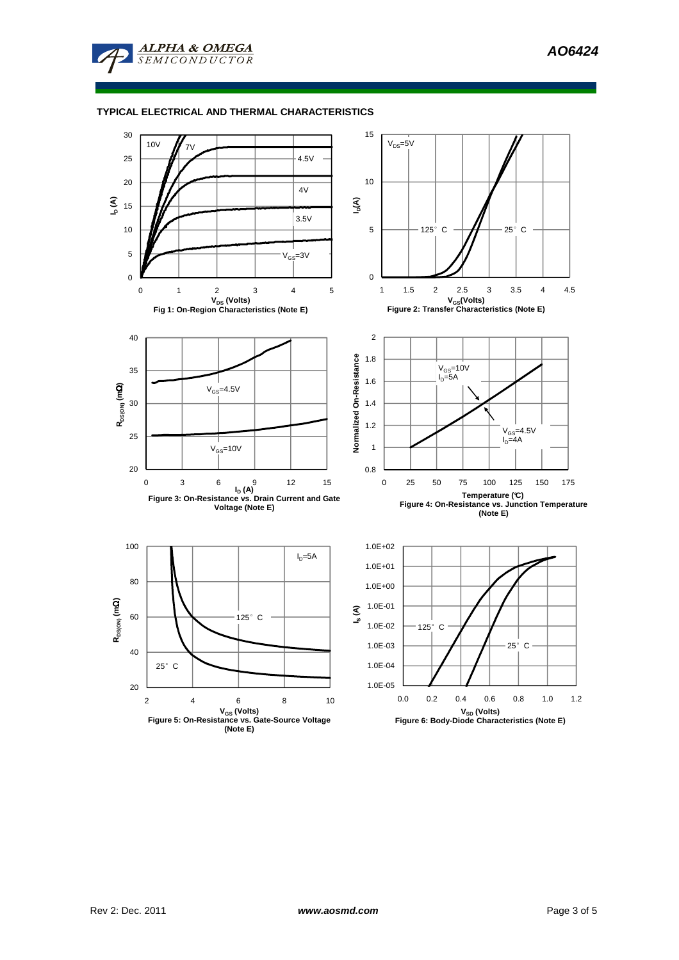

## **TYPICAL ELECTRICAL AND THERMAL CHARACTERISTICS**

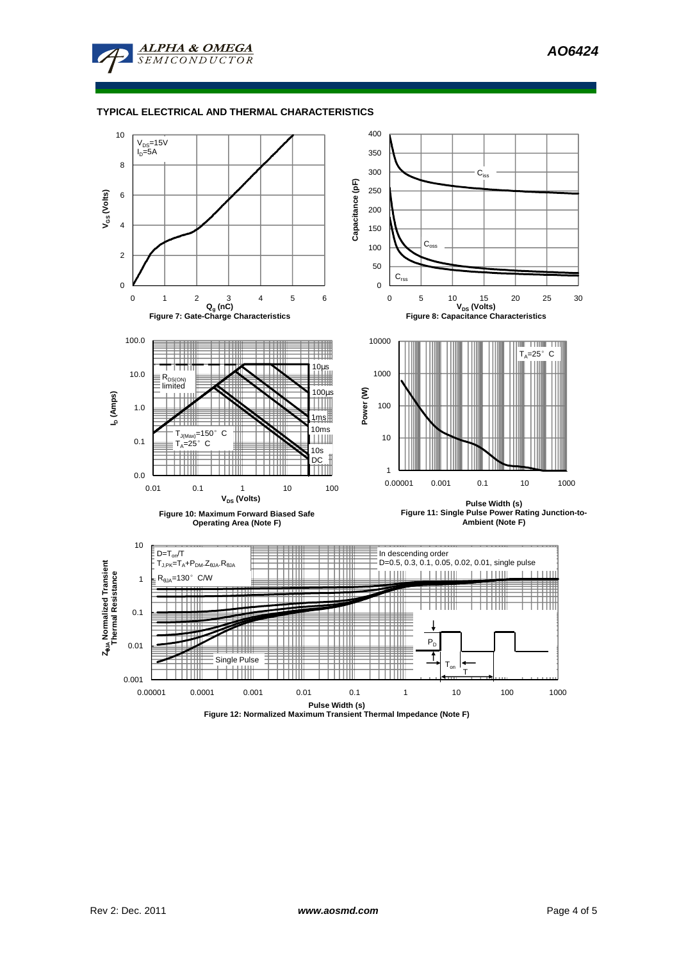**AO6424** 



## **TYPICAL ELECTRICAL AND THERMAL CHARACTERISTICS**